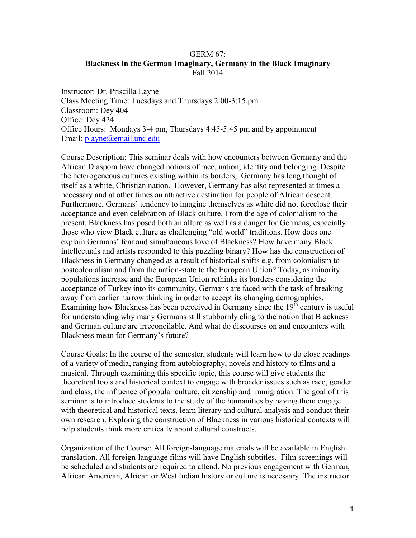### GERM 67: **Blackness in the German Imaginary, Germany in the Black Imaginary** Fall 2014

Instructor: Dr. Priscilla Layne Class Meeting Time: Tuesdays and Thursdays 2:00-3:15 pm Classroom: Dey 404 Office: Dey 424 Office Hours: Mondays 3-4 pm, Thursdays 4:45-5:45 pm and by appointment Email: playne@email.unc.edu

Course Description: This seminar deals with how encounters between Germany and the African Diaspora have changed notions of race, nation, identity and belonging. Despite the heterogeneous cultures existing within its borders, Germany has long thought of itself as a white, Christian nation. However, Germany has also represented at times a necessary and at other times an attractive destination for people of African descent. Furthermore, Germans' tendency to imagine themselves as white did not foreclose their acceptance and even celebration of Black culture. From the age of colonialism to the present, Blackness has posed both an allure as well as a danger for Germans, especially those who view Black culture as challenging "old world" traditions. How does one explain Germans' fear and simultaneous love of Blackness? How have many Black intellectuals and artists responded to this puzzling binary? How has the construction of Blackness in Germany changed as a result of historical shifts e.g. from colonialism to postcolonialism and from the nation-state to the European Union? Today, as minority populations increase and the European Union rethinks its borders considering the acceptance of Turkey into its community, Germans are faced with the task of breaking away from earlier narrow thinking in order to accept its changing demographics. Examining how Blackness has been perceived in Germany since the  $19<sup>th</sup>$  century is useful for understanding why many Germans still stubbornly cling to the notion that Blackness and German culture are irreconcilable. And what do discourses on and encounters with Blackness mean for Germany's future?

Course Goals: In the course of the semester, students will learn how to do close readings of a variety of media, ranging from autobiography, novels and history to films and a musical. Through examining this specific topic, this course will give students the theoretical tools and historical context to engage with broader issues such as race, gender and class, the influence of popular culture, citizenship and immigration. The goal of this seminar is to introduce students to the study of the humanities by having them engage with theoretical and historical texts, learn literary and cultural analysis and conduct their own research. Exploring the construction of Blackness in various historical contexts will help students think more critically about cultural constructs.

Organization of the Course: All foreign-language materials will be available in English translation. All foreign-language films will have English subtitles. Film screenings will be scheduled and students are required to attend. No previous engagement with German, African American, African or West Indian history or culture is necessary. The instructor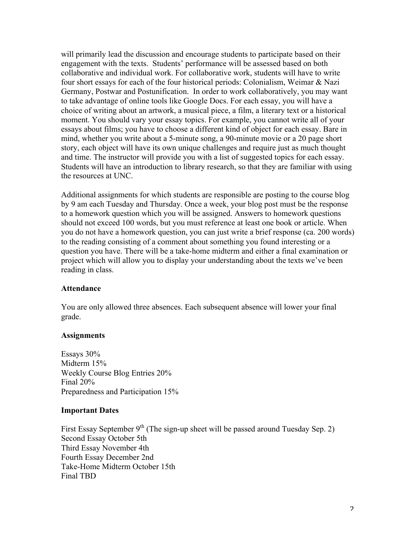will primarily lead the discussion and encourage students to participate based on their engagement with the texts. Students' performance will be assessed based on both collaborative and individual work. For collaborative work, students will have to write four short essays for each of the four historical periods: Colonialism, Weimar & Nazi Germany, Postwar and Postunification. In order to work collaboratively, you may want to take advantage of online tools like Google Docs. For each essay, you will have a choice of writing about an artwork, a musical piece, a film, a literary text or a historical moment. You should vary your essay topics. For example, you cannot write all of your essays about films; you have to choose a different kind of object for each essay. Bare in mind, whether you write about a 5-minute song, a 90-minute movie or a 20 page short story, each object will have its own unique challenges and require just as much thought and time. The instructor will provide you with a list of suggested topics for each essay. Students will have an introduction to library research, so that they are familiar with using the resources at UNC.

Additional assignments for which students are responsible are posting to the course blog by 9 am each Tuesday and Thursday. Once a week, your blog post must be the response to a homework question which you will be assigned. Answers to homework questions should not exceed 100 words, but you must reference at least one book or article. When you do not have a homework question, you can just write a brief response (ca. 200 words) to the reading consisting of a comment about something you found interesting or a question you have. There will be a take-home midterm and either a final examination or project which will allow you to display your understanding about the texts we've been reading in class.

## **Attendance**

You are only allowed three absences. Each subsequent absence will lower your final grade.

## **Assignments**

Essays 30% Midterm 15% Weekly Course Blog Entries 20% Final 20% Preparedness and Participation 15%

## **Important Dates**

First Essay September  $9<sup>th</sup>$  (The sign-up sheet will be passed around Tuesday Sep. 2) Second Essay October 5th Third Essay November 4th Fourth Essay December 2nd Take-Home Midterm October 15th Final TBD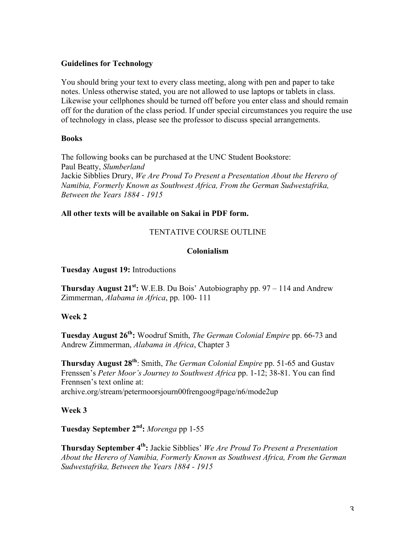## **Guidelines for Technology**

You should bring your text to every class meeting, along with pen and paper to take notes. Unless otherwise stated, you are not allowed to use laptops or tablets in class. Likewise your cellphones should be turned off before you enter class and should remain off for the duration of the class period. If under special circumstances you require the use of technology in class, please see the professor to discuss special arrangements.

## **Books**

The following books can be purchased at the UNC Student Bookstore: Paul Beatty, *Slumberland* Jackie Sibblies Drury, *We Are Proud To Present a Presentation About the Herero of Namibia, Formerly Known as Southwest Africa, From the German Sudwestafrika, Between the Years 1884 - 1915*

## **All other texts will be available on Sakai in PDF form.**

## TENTATIVE COURSE OUTLINE

## **Colonialism**

#### **Tuesday August 19:** Introductions

**Thursday August 21<sup>st</sup>:** W.E.B. Du Bois' Autobiography pp.  $97 - 114$  and Andrew Zimmerman, *Alabama in Africa*, pp. 100- 111

## **Week 2**

**Tuesday August 26th:** Woodruf Smith, *The German Colonial Empire* pp. 66-73 and Andrew Zimmerman, *Alabama in Africa*, Chapter 3

**Thursday August 28th**: Smith, *The German Colonial Empire* pp. 51-65 and Gustav Frenssen's *Peter Moor's Journey to Southwest Africa* pp. 1-12; 38-81. You can find Frennsen's text online at:

archive.org/stream/petermoorsjourn00frengoog#page/n6/mode2up

#### **Week 3**

# **Tuesday September 2nd:** *Morenga* pp 1-55

**Thursday September 4th:** Jackie Sibblies' *We Are Proud To Present a Presentation About the Herero of Namibia, Formerly Known as Southwest Africa, From the German Sudwestafrika, Between the Years 1884 - 1915*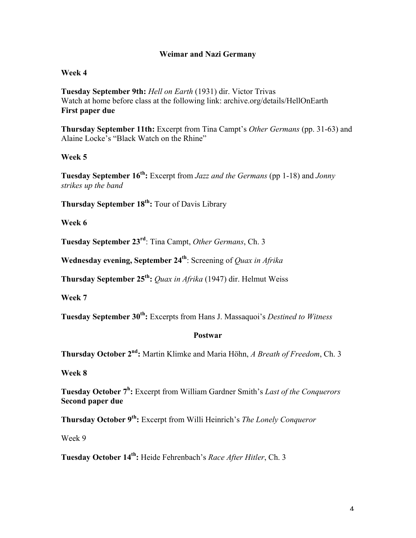## **Weimar and Nazi Germany**

## **Week 4**

**Tuesday September 9th:** *Hell on Earth* (1931) dir. Victor Trivas Watch at home before class at the following link: archive.org/details/HellOnEarth **First paper due**

**Thursday September 11th:** Excerpt from Tina Campt's *Other Germans* (pp. 31-63) and Alaine Locke's "Black Watch on the Rhine"

## **Week 5**

**Tuesday September 16th:** Excerpt from *Jazz and the Germans* (pp 1-18) and *Jonny strikes up the band*

Thursday September 18<sup>th</sup>: Tour of Davis Library

**Week 6**

**Tuesday September 23rd**: Tina Campt, *Other Germans*, Ch. 3

**Wednesday evening, September 24th**: Screening of *Quax in Afrika*

**Thursday September 25th:** *Quax in Afrika* (1947) dir. Helmut Weiss

**Week 7**

**Tuesday September 30th:** Excerpts from Hans J. Massaquoi's *Destined to Witness*

## **Postwar**

**Thursday October 2nd:** Martin Klimke and Maria Höhn, *A Breath of Freedom*, Ch. 3

**Week 8**

**Tuesday October 7h :** Excerpt from William Gardner Smith's *Last of the Conquerors* **Second paper due**

**Thursday October 9<sup>th</sup>:** Excerpt from Willi Heinrich's *The Lonely Conqueror* 

Week 9

**Tuesday October 14th:** Heide Fehrenbach's *Race After Hitler*, Ch. 3